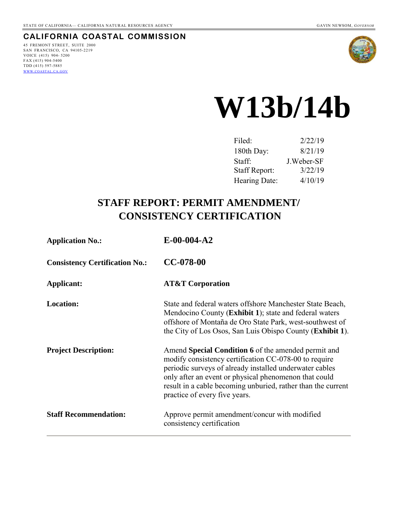## **CALIFORNIA COASTAL COMMISSION**

45 FREMONT STREET, SUITE 2000 SAN FRANCISCO, CA 94105-2219 VOICE (415) 904- 5200 FAX (415) 904-5400 TDD (415) 597-5885 WWW.[COASTAL](http://www.coastal.ca.gov/).CA.GOV



# **W13b/14b**

| Filed:        | 2/22/19    |
|---------------|------------|
| 180th Day:    | 8/21/19    |
| Staff:        | J.Weber-SF |
| Staff Report: | 3/22/19    |
| Hearing Date: | 4/10/19    |

# **STAFF REPORT: PERMIT AMENDMENT/ CONSISTENCY CERTIFICATION**

| <b>Application No.:</b>               | $E-00-004-A2$                                                                                                                                                                                                                                                                                                                     |
|---------------------------------------|-----------------------------------------------------------------------------------------------------------------------------------------------------------------------------------------------------------------------------------------------------------------------------------------------------------------------------------|
| <b>Consistency Certification No.:</b> | $CC-078-00$                                                                                                                                                                                                                                                                                                                       |
| Applicant:                            | <b>AT&amp;T Corporation</b>                                                                                                                                                                                                                                                                                                       |
| <b>Location:</b>                      | State and federal waters offshore Manchester State Beach,<br>Mendocino County (Exhibit 1); state and federal waters<br>offshore of Montaña de Oro State Park, west-southwest of<br>the City of Los Osos, San Luis Obispo County ( <b>Exhibit 1</b> ).                                                                             |
| <b>Project Description:</b>           | Amend Special Condition 6 of the amended permit and<br>modify consistency certification CC-078-00 to require<br>periodic surveys of already installed underwater cables<br>only after an event or physical phenomenon that could<br>result in a cable becoming unburied, rather than the current<br>practice of every five years. |
| <b>Staff Recommendation:</b>          | Approve permit amendment/concur with modified<br>consistency certification                                                                                                                                                                                                                                                        |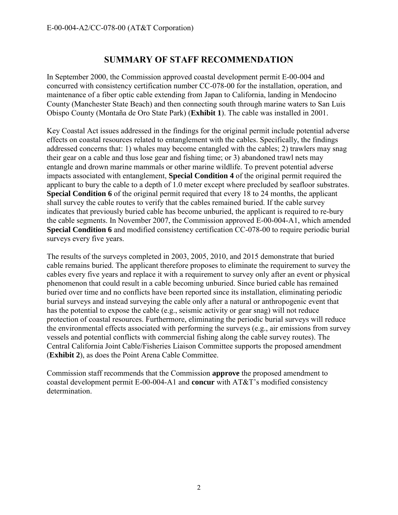## **SUMMARY OF STAFF RECOMMENDATION**

In September 2000, the Commission approved coastal development permit E-00-004 and concurred with consistency certification number CC-078-00 for the installation, operation, and maintenance of a fiber optic cable extending from Japan to California, landing in Mendocino County (Manchester State Beach) and then connecting south through marine waters to San Luis Obispo County (Montaña de Oro State Park) (**Exhibit 1**). The cable was installed in 2001.

Key Coastal Act issues addressed in the findings for the original permit include potential adverse effects on coastal resources related to entanglement with the cables. Specifically, the findings addressed concerns that: 1) whales may become entangled with the cables; 2) trawlers may snag their gear on a cable and thus lose gear and fishing time; or 3) abandoned trawl nets may entangle and drown marine mammals or other marine wildlife. To prevent potential adverse impacts associated with entanglement, **Special Condition 4** of the original permit required the applicant to bury the cable to a depth of 1.0 meter except where precluded by seafloor substrates. **Special Condition 6** of the original permit required that every 18 to 24 months, the applicant shall survey the cable routes to verify that the cables remained buried. If the cable survey indicates that previously buried cable has become unburied, the applicant is required to re-bury the cable segments. In November 2007, the Commission approved E-00-004-A1, which amended **Special Condition 6** and modified consistency certification CC-078-00 to require periodic burial surveys every five years.

The results of the surveys completed in 2003, 2005, 2010, and 2015 demonstrate that buried cable remains buried. The applicant therefore proposes to eliminate the requirement to survey the cables every five years and replace it with a requirement to survey only after an event or physical phenomenon that could result in a cable becoming unburied. Since buried cable has remained buried over time and no conflicts have been reported since its installation, eliminating periodic burial surveys and instead surveying the cable only after a natural or anthropogenic event that has the potential to expose the cable (e.g., seismic activity or gear snag) will not reduce protection of coastal resources. Furthermore, eliminating the periodic burial surveys will reduce the environmental effects associated with performing the surveys (e.g., air emissions from survey vessels and potential conflicts with commercial fishing along the cable survey routes). The Central California Joint Cable/Fisheries Liaison Committee supports the proposed amendment (**Exhibit 2**), as does the Point Arena Cable Committee.

Commission staff recommends that the Commission **approve** the proposed amendment to coastal development permit E-00-004-A1 and **concur** with AT&T's modified consistency determination.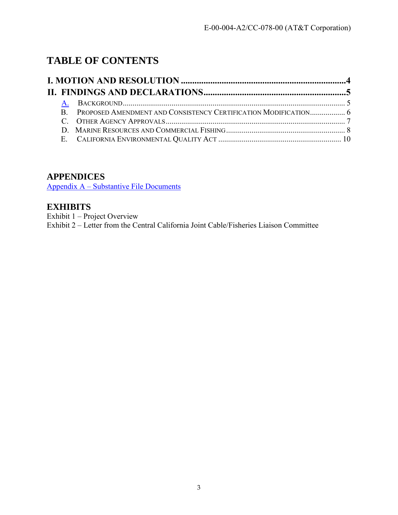# **TABLE OF CONTENTS**

## **APPENDICES**

Appendix A – Substantive File Documents

## **EXHIBITS**

Exhibit 1 – Project Overview Exhibit 2 – Letter from the Central California Joint Cable/Fisheries Liaison Committee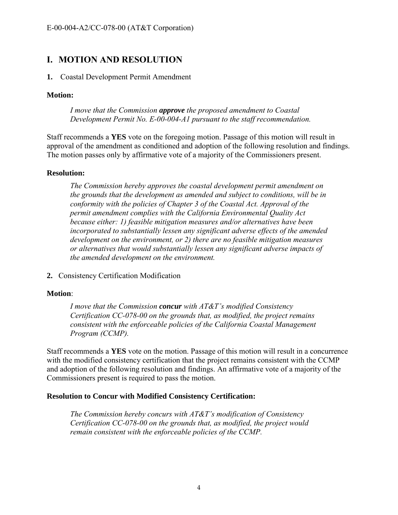## <span id="page-3-0"></span>**I. MOTION AND RESOLUTION**

#### **1.** Coastal Development Permit Amendment

#### **Motion:**

*I move that the Commission approve the proposed amendment to Coastal Development Permit No. E-00-004-A1 pursuant to the staff recommendation.* 

Staff recommends a **YES** vote on the foregoing motion. Passage of this motion will result in approval of the amendment as conditioned and adoption of the following resolution and findings. The motion passes only by affirmative vote of a majority of the Commissioners present.

#### **Resolution:**

*The Commission hereby approves the coastal development permit amendment on the grounds that the development as amended and subject to conditions, will be in conformity with the policies of Chapter 3 of the Coastal Act. Approval of the permit amendment complies with the California Environmental Quality Act because either: 1) feasible mitigation measures and/or alternatives have been incorporated to substantially lessen any significant adverse effects of the amended development on the environment, or 2) there are no feasible mitigation measures or alternatives that would substantially lessen any significant adverse impacts of the amended development on the environment.* 

**2.** Consistency Certification Modification

#### **Motion**:

*I move that the Commission concur with AT&T's modified Consistency Certification CC-078-00 on the grounds that, as modified, the project remains consistent with the enforceable policies of the California Coastal Management Program (CCMP).* 

Staff recommends a **YES** vote on the motion. Passage of this motion will result in a concurrence with the modified consistency certification that the project remains consistent with the CCMP and adoption of the following resolution and findings. An affirmative vote of a majority of the Commissioners present is required to pass the motion.

#### **Resolution to Concur with Modified Consistency Certification:**

*The Commission hereby concurs with AT&T's modification of Consistency Certification CC-078-00 on the grounds that, as modified, the project would remain consistent with the enforceable policies of the CCMP.*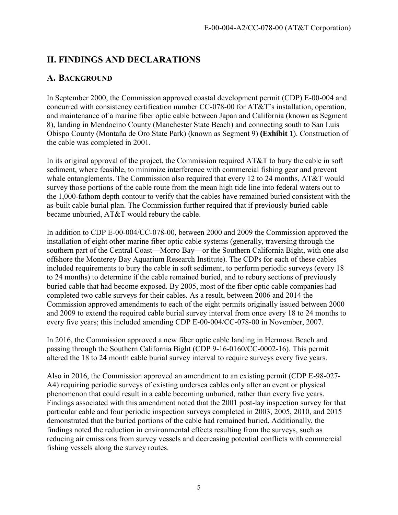# <span id="page-4-0"></span>**II. FINDINGS AND DECLARATIONS**

## <span id="page-4-1"></span>**A. BACKGROUND**

In September 2000, the Commission approved coastal development permit (CDP) E-00-004 and concurred with consistency certification number CC-078-00 for AT&T's installation, operation, and maintenance of a marine fiber optic cable between Japan and California (known as Segment 8), landing in Mendocino County (Manchester State Beach) and connecting south to San Luis Obispo County (Montaña de Oro State Park) (known as Segment 9) **(Exhibit 1**). Construction of the cable was completed in 2001.

In its original approval of the project, the Commission required AT&T to bury the cable in soft sediment, where feasible, to minimize interference with commercial fishing gear and prevent whale entanglements. The Commission also required that every 12 to 24 months, AT&T would survey those portions of the cable route from the mean high tide line into federal waters out to the 1,000-fathom depth contour to verify that the cables have remained buried consistent with the as-built cable burial plan. The Commission further required that if previously buried cable became unburied, AT&T would rebury the cable.

In addition to CDP E-00-004/CC-078-00, between 2000 and 2009 the Commission approved the installation of eight other marine fiber optic cable systems (generally, traversing through the southern part of the Central Coast—Morro Bay—or the Southern California Bight, with one also offshore the Monterey Bay Aquarium Research Institute). The CDPs for each of these cables included requirements to bury the cable in soft sediment, to perform periodic surveys (every 18 to 24 months) to determine if the cable remained buried, and to rebury sections of previously buried cable that had become exposed. By 2005, most of the fiber optic cable companies had completed two cable surveys for their cables. As a result, between 2006 and 2014 the Commission approved amendments to each of the eight permits originally issued between 2000 and 2009 to extend the required cable burial survey interval from once every 18 to 24 months to every five years; this included amending CDP E-00-004/CC-078-00 in November, 2007.

In 2016, the Commission approved a new fiber optic cable landing in Hermosa Beach and passing through the Southern California Bight (CDP 9-16-0160/CC-0002-16). This permit altered the 18 to 24 month cable burial survey interval to require surveys every five years.

Also in 2016, the Commission approved an amendment to an existing permit (CDP E-98-027- A4) requiring periodic surveys of existing undersea cables only after an event or physical phenomenon that could result in a cable becoming unburied, rather than every five years. Findings associated with this amendment noted that the 2001 post-lay inspection survey for that particular cable and four periodic inspection surveys completed in 2003, 2005, 2010, and 2015 demonstrated that the buried portions of the cable had remained buried. Additionally, the findings noted the reduction in environmental effects resulting from the surveys, such as reducing air emissions from survey vessels and decreasing potential conflicts with commercial fishing vessels along the survey routes.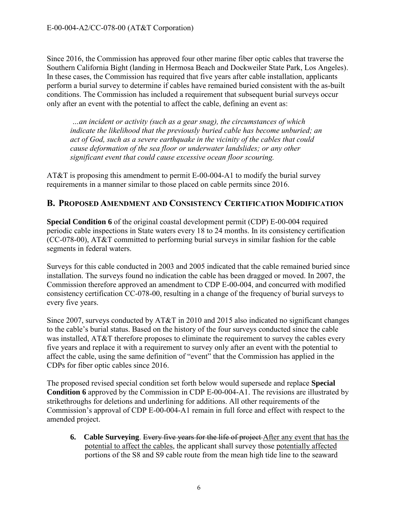Since 2016, the Commission has approved four other marine fiber optic cables that traverse the Southern California Bight (landing in Hermosa Beach and Dockweiler State Park, Los Angeles). In these cases, the Commission has required that five years after cable installation, applicants perform a burial survey to determine if cables have remained buried consistent with the as-built conditions. The Commission has included a requirement that subsequent burial surveys occur only after an event with the potential to affect the cable, defining an event as:

*…an incident or activity (such as a gear snag), the circumstances of which indicate the likelihood that the previously buried cable has become unburied; an act of God, such as a severe earthquake in the vicinity of the cables that could cause deformation of the sea floor or underwater landslides; or any other significant event that could cause excessive ocean floor scouring.* 

AT&T is proposing this amendment to permit E-00-004-A1 to modify the burial survey requirements in a manner similar to those placed on cable permits since 2016.

## <span id="page-5-0"></span>**B. PROPOSED AMENDMENT AND CONSISTENCY CERTIFICATION MODIFICATION**

**Special Condition 6** of the original coastal development permit (CDP) E-00-004 required periodic cable inspections in State waters every 18 to 24 months. In its consistency certification (CC-078-00), AT&T committed to performing burial surveys in similar fashion for the cable segments in federal waters.

Surveys for this cable conducted in 2003 and 2005 indicated that the cable remained buried since installation. The surveys found no indication the cable has been dragged or moved. In 2007, the Commission therefore approved an amendment to CDP E-00-004, and concurred with modified consistency certification CC-078-00, resulting in a change of the frequency of burial surveys to every five years.

Since 2007, surveys conducted by AT&T in 2010 and 2015 also indicated no significant changes to the cable's burial status. Based on the history of the four surveys conducted since the cable was installed, AT&T therefore proposes to eliminate the requirement to survey the cables every five years and replace it with a requirement to survey only after an event with the potential to affect the cable, using the same definition of "event" that the Commission has applied in the CDPs for fiber optic cables since 2016.

The proposed revised special condition set forth below would supersede and replace **Special Condition 6** approved by the Commission in CDP E-00-004-A1. The revisions are illustrated by strikethroughs for deletions and underlining for additions. All other requirements of the Commission's approval of CDP E-00-004-A1 remain in full force and effect with respect to the amended project.

**6. Cable Surveying**. Every five years for the life of project After any event that has the potential to affect the cables, the applicant shall survey those potentially affected portions of the S8 and S9 cable route from the mean high tide line to the seaward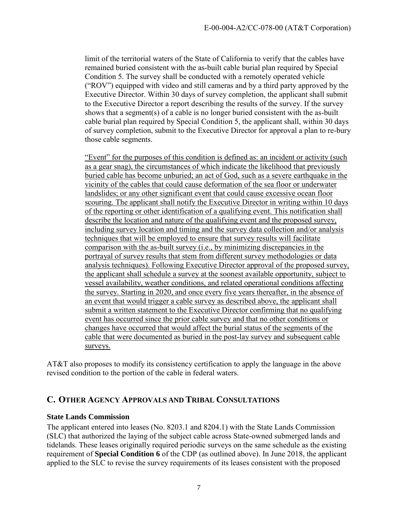limit of the territorial waters of the State of California to verify that the cables have remained buried consistent with the as-built cable burial plan required by Special Condition 5. The survey shall be conducted with a remotely operated vehicle ("ROV") equipped with video and still cameras and by a third party approved by the Executive Director. Within 30 days of survey completion, the applicant shall submit to the Executive Director a report describing the results of the survey. If the survey shows that a segment(s) of a cable is no longer buried consistent with the as-built cable burial plan required by Special Condition 5, the applicant shall, within 30 days of survey completion, submit to the Executive Director for approval a plan to re-bury those cable segments.

"Event" for the purposes of this condition is defined as: an incident or activity (such as a gear snag), the circumstances of which indicate the likelihood that previously buried cable has become unburied; an act of God, such as a severe earthquake in the vicinity of the cables that could cause deformation of the sea floor or underwater landslides; or any other significant event that could cause excessive ocean floor scouring. The applicant shall notify the Executive Director in writing within 10 days of the reporting or other identification of a qualifying event. This notification shall describe the location and nature of the qualifying event and the proposed survey, including survey location and timing and the survey data collection and/or analysis techniques that will be employed to ensure that survey results will facilitate comparison with the as-built survey (i.e., by minimizing discrepancies in the portrayal of survey results that stem from different survey methodologies or data analysis techniques). Following Executive Director approval of the proposed survey, the applicant shall schedule a survey at the soonest available opportunity, subject to vessel availability, weather conditions, and related operational conditions affecting the survey. Starting in 2020, and once every five years thereafter, in the absence of an event that would trigger a cable survey as described above, the applicant shall submit a written statement to the Executive Director confirming that no qualifying event has occurred since the prior cable survey and that no other conditions or changes have occurred that would affect the burial status of the segments of the cable that were documented as buried in the post-lay survey and subsequent cable surveys.

AT&T also proposes to modify its consistency certification to apply the language in the above revised condition to the portion of the cable in federal waters.

## <span id="page-6-0"></span>**C. OTHER AGENCY APPROVALS AND TRIBAL CONSULTATIONS**

#### **State Lands Commission**

The applicant entered into leases (No. 8203.1 and 8204.1) with the State Lands Commission (SLC) that authorized the laying of the subject cable across State-owned submerged lands and tidelands. These leases originally required periodic surveys on the same schedule as the existing requirement of **Special Condition 6** of the CDP (as outlined above). In June 2018, the applicant applied to the SLC to revise the survey requirements of its leases consistent with the proposed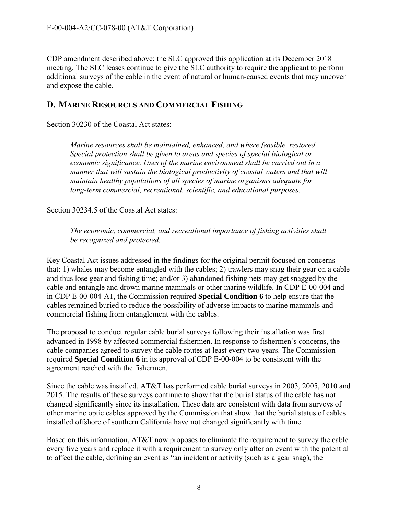CDP amendment described above; the SLC approved this application at its December 2018 meeting. The SLC leases continue to give the SLC authority to require the applicant to perform additional surveys of the cable in the event of natural or human-caused events that may uncover and expose the cable.

## <span id="page-7-0"></span>**D. MARINE RESOURCES AND COMMERCIAL FISHING**

Section 30230 of the Coastal Act states:

*Marine resources shall be maintained, enhanced, and where feasible, restored. Special protection shall be given to areas and species of special biological or economic significance. Uses of the marine environment shall be carried out in a manner that will sustain the biological productivity of coastal waters and that will maintain healthy populations of all species of marine organisms adequate for long-term commercial, recreational, scientific, and educational purposes.* 

Section 30234.5 of the Coastal Act states:

*The economic, commercial, and recreational importance of fishing activities shall be recognized and protected.* 

Key Coastal Act issues addressed in the findings for the original permit focused on concerns that: 1) whales may become entangled with the cables; 2) trawlers may snag their gear on a cable and thus lose gear and fishing time; and/or 3) abandoned fishing nets may get snagged by the cable and entangle and drown marine mammals or other marine wildlife. In CDP E-00-004 and in CDP E-00-004-A1, the Commission required **Special Condition 6** to help ensure that the cables remained buried to reduce the possibility of adverse impacts to marine mammals and commercial fishing from entanglement with the cables.

The proposal to conduct regular cable burial surveys following their installation was first advanced in 1998 by affected commercial fishermen. In response to fishermen's concerns, the cable companies agreed to survey the cable routes at least every two years. The Commission required **Special Condition 6** in its approval of CDP E-00-004 to be consistent with the agreement reached with the fishermen.

Since the cable was installed, AT&T has performed cable burial surveys in 2003, 2005, 2010 and 2015. The results of these surveys continue to show that the burial status of the cable has not changed significantly since its installation. These data are consistent with data from surveys of other marine optic cables approved by the Commission that show that the burial status of cables installed offshore of southern California have not changed significantly with time.

Based on this information, AT&T now proposes to eliminate the requirement to survey the cable every five years and replace it with a requirement to survey only after an event with the potential to affect the cable, defining an event as "an incident or activity (such as a gear snag), the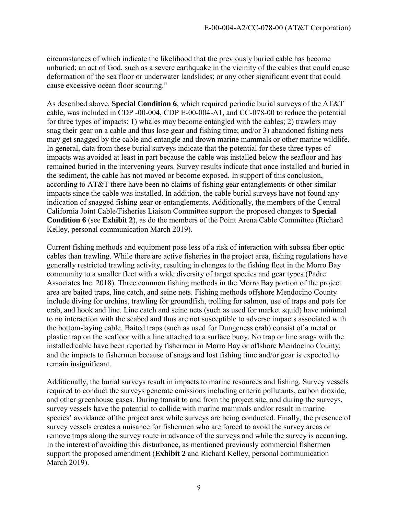circumstances of which indicate the likelihood that the previously buried cable has become unburied; an act of God, such as a severe earthquake in the vicinity of the cables that could cause deformation of the sea floor or underwater landslides; or any other significant event that could cause excessive ocean floor scouring."

As described above, **Special Condition 6**, which required periodic burial surveys of the AT&T cable, was included in CDP -00-004, CDP E-00-004-A1, and CC-078-00 to reduce the potential for three types of impacts: 1) whales may become entangled with the cables; 2) trawlers may snag their gear on a cable and thus lose gear and fishing time; and/or 3) abandoned fishing nets may get snagged by the cable and entangle and drown marine mammals or other marine wildlife. In general, data from these burial surveys indicate that the potential for these three types of impacts was avoided at least in part because the cable was installed below the seafloor and has remained buried in the intervening years. Survey results indicate that once installed and buried in the sediment, the cable has not moved or become exposed. In support of this conclusion, according to AT&T there have been no claims of fishing gear entanglements or other similar impacts since the cable was installed. In addition, the cable burial surveys have not found any indication of snagged fishing gear or entanglements. Additionally, the members of the Central California Joint Cable/Fisheries Liaison Committee support the proposed changes to **Special Condition 6** (see **Exhibit 2**), as do the members of the Point Arena Cable Committee (Richard Kelley, personal communication March 2019).

Current fishing methods and equipment pose less of a risk of interaction with subsea fiber optic cables than trawling. While there are active fisheries in the project area, fishing regulations have generally restricted trawling activity, resulting in changes to the fishing fleet in the Morro Bay community to a smaller fleet with a wide diversity of target species and gear types (Padre Associates Inc. 2018). Three common fishing methods in the Morro Bay portion of the project area are baited traps, line catch, and seine nets. Fishing methods offshore Mendocino County include diving for urchins, trawling for groundfish, trolling for salmon, use of traps and pots for crab, and hook and line. Line catch and seine nets (such as used for market squid) have minimal to no interaction with the seabed and thus are not susceptible to adverse impacts associated with the bottom-laying cable. Baited traps (such as used for Dungeness crab) consist of a metal or plastic trap on the seafloor with a line attached to a surface buoy. No trap or line snags with the installed cable have been reported by fishermen in Morro Bay or offshore Mendocino County, and the impacts to fishermen because of snags and lost fishing time and/or gear is expected to remain insignificant.

Additionally, the burial surveys result in impacts to marine resources and fishing. Survey vessels required to conduct the surveys generate emissions including criteria pollutants, carbon dioxide, and other greenhouse gases. During transit to and from the project site, and during the surveys, survey vessels have the potential to collide with marine mammals and/or result in marine species' avoidance of the project area while surveys are being conducted. Finally, the presence of survey vessels creates a nuisance for fishermen who are forced to avoid the survey areas or remove traps along the survey route in advance of the surveys and while the survey is occurring. In the interest of avoiding this disturbance, as mentioned previously commercial fishermen support the proposed amendment (**Exhibit 2** and Richard Kelley, personal communication March 2019).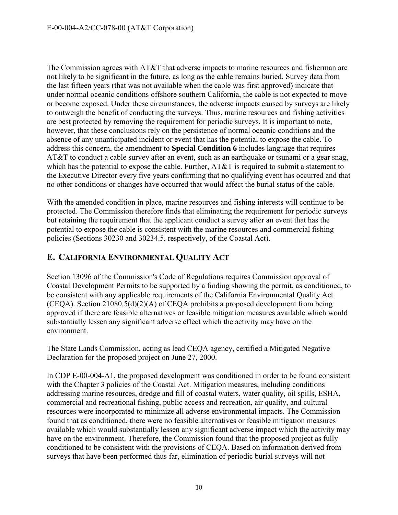The Commission agrees with AT&T that adverse impacts to marine resources and fisherman are not likely to be significant in the future, as long as the cable remains buried. Survey data from the last fifteen years (that was not available when the cable was first approved) indicate that under normal oceanic conditions offshore southern California, the cable is not expected to move or become exposed. Under these circumstances, the adverse impacts caused by surveys are likely to outweigh the benefit of conducting the surveys. Thus, marine resources and fishing activities are best protected by removing the requirement for periodic surveys. It is important to note, however, that these conclusions rely on the persistence of normal oceanic conditions and the absence of any unanticipated incident or event that has the potential to expose the cable. To address this concern, the amendment to **Special Condition 6** includes language that requires AT&T to conduct a cable survey after an event, such as an earthquake or tsunami or a gear snag, which has the potential to expose the cable. Further, AT&T is required to submit a statement to the Executive Director every five years confirming that no qualifying event has occurred and that no other conditions or changes have occurred that would affect the burial status of the cable.

With the amended condition in place, marine resources and fishing interests will continue to be protected. The Commission therefore finds that eliminating the requirement for periodic surveys but retaining the requirement that the applicant conduct a survey after an event that has the potential to expose the cable is consistent with the marine resources and commercial fishing policies (Sections 30230 and 30234.5, respectively, of the Coastal Act).

## <span id="page-9-0"></span>**E. CALIFORNIA ENVIRONMENTAL QUALITY ACT**

Section 13096 of the Commission's Code of Regulations requires Commission approval of Coastal Development Permits to be supported by a finding showing the permit, as conditioned, to be consistent with any applicable requirements of the California Environmental Quality Act (CEQA). Section 21080.5(d)(2)(A) of CEQA prohibits a proposed development from being approved if there are feasible alternatives or feasible mitigation measures available which would substantially lessen any significant adverse effect which the activity may have on the environment.

The State Lands Commission, acting as lead CEQA agency, certified a Mitigated Negative Declaration for the proposed project on June 27, 2000.

In CDP E-00-004-A1, the proposed development was conditioned in order to be found consistent with the Chapter 3 policies of the Coastal Act. Mitigation measures, including conditions addressing marine resources, dredge and fill of coastal waters, water quality, oil spills, ESHA, commercial and recreational fishing, public access and recreation, air quality, and cultural resources were incorporated to minimize all adverse environmental impacts. The Commission found that as conditioned, there were no feasible alternatives or feasible mitigation measures available which would substantially lessen any significant adverse impact which the activity may have on the environment. Therefore, the Commission found that the proposed project as fully conditioned to be consistent with the provisions of CEQA. Based on information derived from surveys that have been performed thus far, elimination of periodic burial surveys will not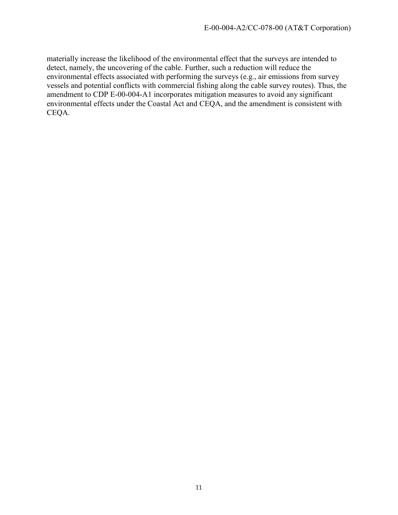materially increase the likelihood of the environmental effect that the surveys are intended to detect, namely, the uncovering of the cable. Further, such a reduction will reduce the environmental effects associated with performing the surveys (e.g., air emissions from survey vessels and potential conflicts with commercial fishing along the cable survey routes). Thus, the amendment to CDP E-00-004-A1 incorporates mitigation measures to avoid any significant environmental effects under the Coastal Act and CEQA, and the amendment is consistent with CEQA.